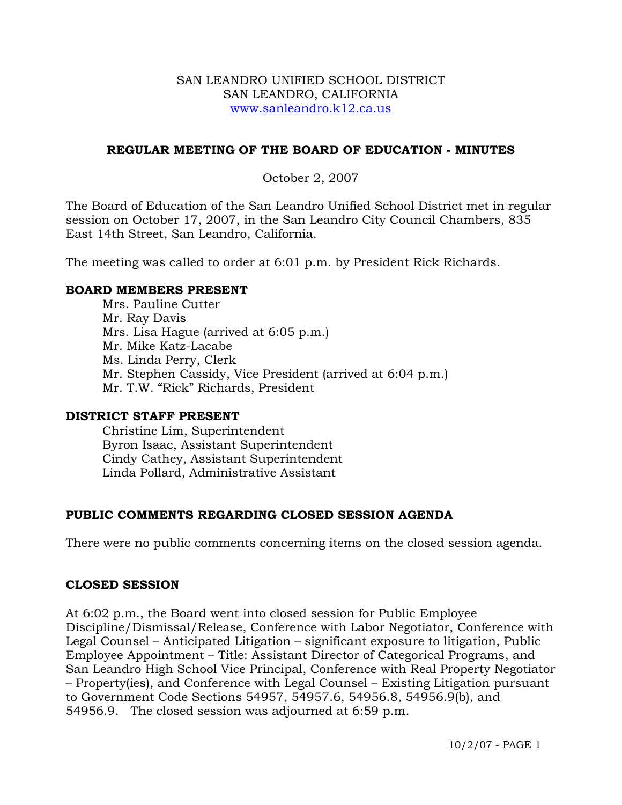#### SAN LEANDRO UNIFIED SCHOOL DISTRICT SAN LEANDRO, CALIFORNIA www.sanleandro.k12.ca.us

#### **REGULAR MEETING OF THE BOARD OF EDUCATION - MINUTES**

October 2, 2007

The Board of Education of the San Leandro Unified School District met in regular session on October 17, 2007, in the San Leandro City Council Chambers, 835 East 14th Street, San Leandro, California.

The meeting was called to order at 6:01 p.m. by President Rick Richards.

#### **BOARD MEMBERS PRESENT**

Mrs. Pauline Cutter Mr. Ray Davis Mrs. Lisa Hague (arrived at 6:05 p.m.) Mr. Mike Katz-Lacabe Ms. Linda Perry, Clerk Mr. Stephen Cassidy, Vice President (arrived at 6:04 p.m.) Mr. T.W. "Rick" Richards, President

#### **DISTRICT STAFF PRESENT**

Christine Lim, Superintendent Byron Isaac, Assistant Superintendent Cindy Cathey, Assistant Superintendent Linda Pollard, Administrative Assistant

#### **PUBLIC COMMENTS REGARDING CLOSED SESSION AGENDA**

There were no public comments concerning items on the closed session agenda.

#### **CLOSED SESSION**

At 6:02 p.m., the Board went into closed session for Public Employee Discipline/Dismissal/Release, Conference with Labor Negotiator, Conference with Legal Counsel – Anticipated Litigation – significant exposure to litigation, Public Employee Appointment – Title: Assistant Director of Categorical Programs, and San Leandro High School Vice Principal, Conference with Real Property Negotiator – Property(ies), and Conference with Legal Counsel – Existing Litigation pursuant to Government Code Sections 54957, 54957.6, 54956.8, 54956.9(b), and 54956.9. The closed session was adjourned at 6:59 p.m.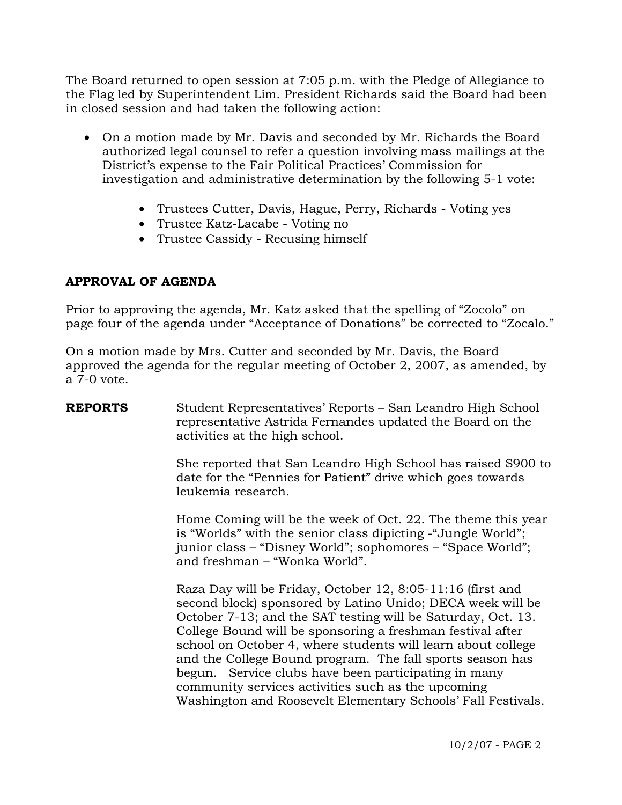The Board returned to open session at 7:05 p.m. with the Pledge of Allegiance to the Flag led by Superintendent Lim. President Richards said the Board had been in closed session and had taken the following action:

- On a motion made by Mr. Davis and seconded by Mr. Richards the Board authorized legal counsel to refer a question involving mass mailings at the District's expense to the Fair Political Practices' Commission for investigation and administrative determination by the following 5-1 vote:
	- Trustees Cutter, Davis, Hague, Perry, Richards Voting yes
	- Trustee Katz-Lacabe Voting no
	- Trustee Cassidy Recusing himself

## **APPROVAL OF AGENDA**

Prior to approving the agenda, Mr. Katz asked that the spelling of "Zocolo" on page four of the agenda under "Acceptance of Donations" be corrected to "Zocalo."

On a motion made by Mrs. Cutter and seconded by Mr. Davis, the Board approved the agenda for the regular meeting of October 2, 2007, as amended, by a 7-0 vote.

# **REPORTS** Student Representatives' Reports – San Leandro High School representative Astrida Fernandes updated the Board on the activities at the high school. She reported that San Leandro High School has raised \$900 to date for the "Pennies for Patient" drive which goes towards leukemia research. Home Coming will be the week of Oct. 22. The theme this year is "Worlds" with the senior class dipicting -"Jungle World"; junior class – "Disney World"; sophomores – "Space World"; and freshman – "Wonka World". Raza Day will be Friday, October 12, 8:05-11:16 (first and second block) sponsored by Latino Unido; DECA week will be October 7-13; and the SAT testing will be Saturday, Oct. 13. College Bound will be sponsoring a freshman festival after school on October 4, where students will learn about college and the College Bound program. The fall sports season has begun. Service clubs have been participating in many community services activities such as the upcoming Washington and Roosevelt Elementary Schools' Fall Festivals.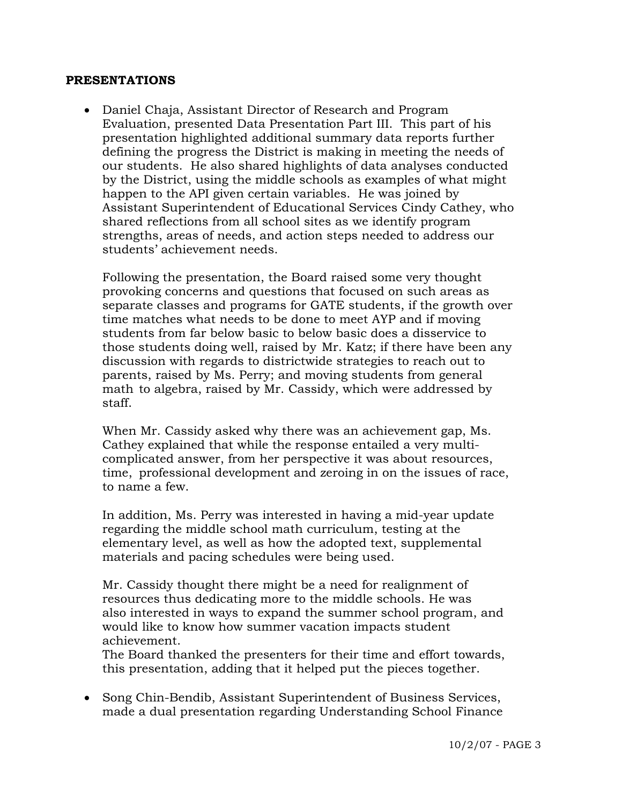#### **PRESENTATIONS**

• Daniel Chaja, Assistant Director of Research and Program Evaluation, presented Data Presentation Part III. This part of his presentation highlighted additional summary data reports further defining the progress the District is making in meeting the needs of our students. He also shared highlights of data analyses conducted by the District, using the middle schools as examples of what might happen to the API given certain variables. He was joined by Assistant Superintendent of Educational Services Cindy Cathey, who shared reflections from all school sites as we identify program strengths, areas of needs, and action steps needed to address our students' achievement needs.

 Following the presentation, the Board raised some very thought provoking concerns and questions that focused on such areas as separate classes and programs for GATE students, if the growth over time matches what needs to be done to meet AYP and if moving students from far below basic to below basic does a disservice to those students doing well, raised by Mr. Katz; if there have been any discussion with regards to districtwide strategies to reach out to parents, raised by Ms. Perry; and moving students from general math to algebra, raised by Mr. Cassidy, which were addressed by staff.

 When Mr. Cassidy asked why there was an achievement gap, Ms. Cathey explained that while the response entailed a very multi complicated answer, from her perspective it was about resources, time, professional development and zeroing in on the issues of race, to name a few.

 In addition, Ms. Perry was interested in having a mid-year update regarding the middle school math curriculum, testing at the elementary level, as well as how the adopted text, supplemental materials and pacing schedules were being used.

 Mr. Cassidy thought there might be a need for realignment of resources thus dedicating more to the middle schools. He was also interested in ways to expand the summer school program, and would like to know how summer vacation impacts student achievement.

 The Board thanked the presenters for their time and effort towards, this presentation, adding that it helped put the pieces together.

• Song Chin-Bendib, Assistant Superintendent of Business Services, made a dual presentation regarding Understanding School Finance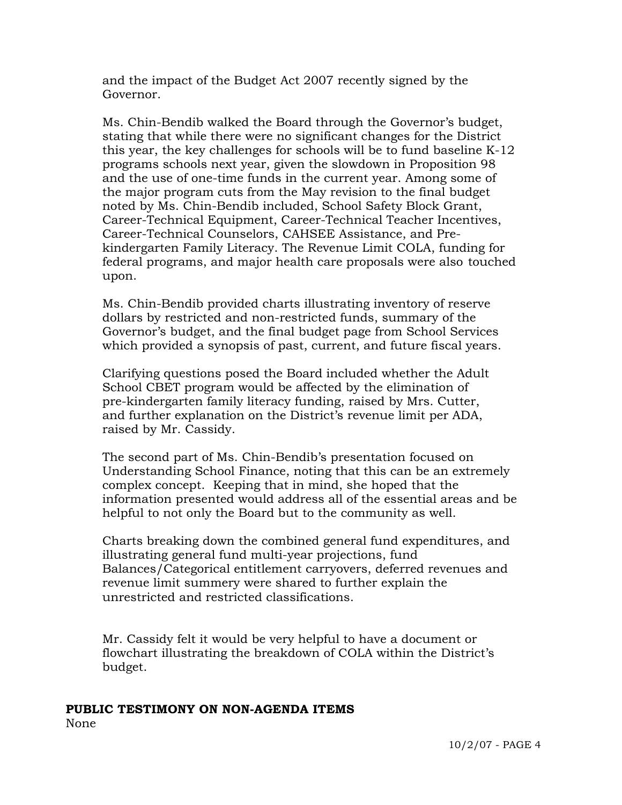and the impact of the Budget Act 2007 recently signed by the Governor.

 Ms. Chin-Bendib walked the Board through the Governor's budget, stating that while there were no significant changes for the District this year, the key challenges for schools will be to fund baseline K-12 programs schools next year, given the slowdown in Proposition 98 and the use of one-time funds in the current year. Among some of the major program cuts from the May revision to the final budget noted by Ms. Chin-Bendib included, School Safety Block Grant, Career-Technical Equipment, Career-Technical Teacher Incentives, Career-Technical Counselors, CAHSEE Assistance, and Pre kindergarten Family Literacy. The Revenue Limit COLA, funding for federal programs, and major health care proposals were also touched upon.

 Ms. Chin-Bendib provided charts illustrating inventory of reserve dollars by restricted and non-restricted funds, summary of the Governor's budget, and the final budget page from School Services which provided a synopsis of past, current, and future fiscal years.

 Clarifying questions posed the Board included whether the Adult School CBET program would be affected by the elimination of pre-kindergarten family literacy funding, raised by Mrs. Cutter, and further explanation on the District's revenue limit per ADA, raised by Mr. Cassidy.

 The second part of Ms. Chin-Bendib's presentation focused on Understanding School Finance, noting that this can be an extremely complex concept. Keeping that in mind, she hoped that the information presented would address all of the essential areas and be helpful to not only the Board but to the community as well.

 Charts breaking down the combined general fund expenditures, and illustrating general fund multi-year projections, fund Balances/Categorical entitlement carryovers, deferred revenues and revenue limit summery were shared to further explain the unrestricted and restricted classifications.

 Mr. Cassidy felt it would be very helpful to have a document or flowchart illustrating the breakdown of COLA within the District's budget.

#### **PUBLIC TESTIMONY ON NON-AGENDA ITEMS** None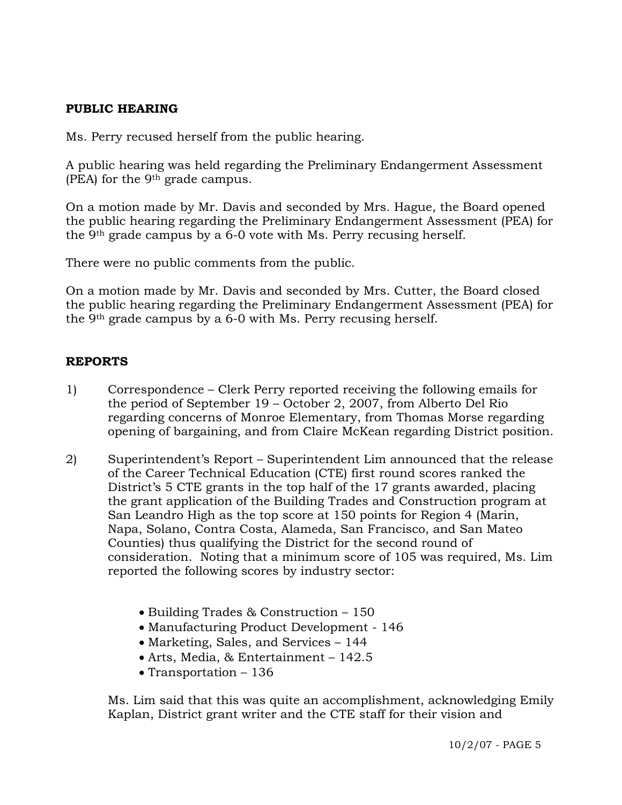#### **PUBLIC HEARING**

Ms. Perry recused herself from the public hearing.

A public hearing was held regarding the Preliminary Endangerment Assessment (PEA) for the 9th grade campus.

On a motion made by Mr. Davis and seconded by Mrs. Hague, the Board opened the public hearing regarding the Preliminary Endangerment Assessment (PEA) for the 9th grade campus by a 6-0 vote with Ms. Perry recusing herself.

There were no public comments from the public.

On a motion made by Mr. Davis and seconded by Mrs. Cutter, the Board closed the public hearing regarding the Preliminary Endangerment Assessment (PEA) for the 9th grade campus by a 6-0 with Ms. Perry recusing herself.

## **REPORTS**

- 1) Correspondence Clerk Perry reported receiving the following emails for the period of September 19 – October 2, 2007, from Alberto Del Rio regarding concerns of Monroe Elementary, from Thomas Morse regarding opening of bargaining, and from Claire McKean regarding District position.
- 2) Superintendent's Report Superintendent Lim announced that the release of the Career Technical Education (CTE) first round scores ranked the District's 5 CTE grants in the top half of the 17 grants awarded, placing the grant application of the Building Trades and Construction program at San Leandro High as the top score at 150 points for Region 4 (Marin, Napa, Solano, Contra Costa, Alameda, San Francisco, and San Mateo Counties) thus qualifying the District for the second round of consideration. Noting that a minimum score of 105 was required, Ms. Lim reported the following scores by industry sector:
	- Building Trades & Construction 150
	- Manufacturing Product Development 146
	- Marketing, Sales, and Services 144
	- Arts, Media, & Entertainment 142.5
	- Transportation 136

Ms. Lim said that this was quite an accomplishment, acknowledging Emily Kaplan, District grant writer and the CTE staff for their vision and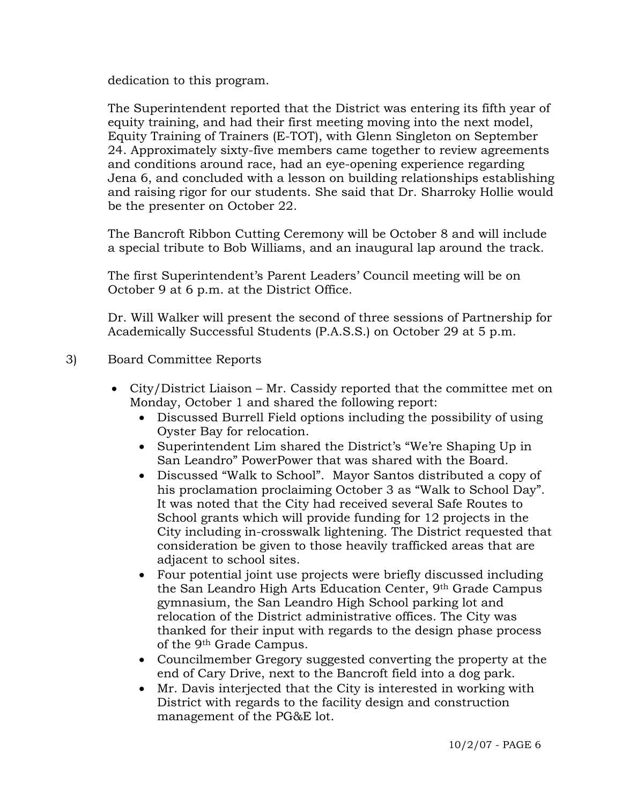dedication to this program.

The Superintendent reported that the District was entering its fifth year of equity training, and had their first meeting moving into the next model, Equity Training of Trainers (E-TOT), with Glenn Singleton on September 24. Approximately sixty-five members came together to review agreements and conditions around race, had an eye-opening experience regarding Jena 6, and concluded with a lesson on building relationships establishing and raising rigor for our students. She said that Dr. Sharroky Hollie would be the presenter on October 22.

The Bancroft Ribbon Cutting Ceremony will be October 8 and will include a special tribute to Bob Williams, and an inaugural lap around the track.

The first Superintendent's Parent Leaders' Council meeting will be on October 9 at 6 p.m. at the District Office.

Dr. Will Walker will present the second of three sessions of Partnership for Academically Successful Students (P.A.S.S.) on October 29 at 5 p.m.

- 3) Board Committee Reports
	- City/District Liaison Mr. Cassidy reported that the committee met on Monday, October 1 and shared the following report:
		- Discussed Burrell Field options including the possibility of using Oyster Bay for relocation.
		- Superintendent Lim shared the District's "We're Shaping Up in San Leandro" PowerPower that was shared with the Board.
		- Discussed "Walk to School". Mayor Santos distributed a copy of his proclamation proclaiming October 3 as "Walk to School Day". It was noted that the City had received several Safe Routes to School grants which will provide funding for 12 projects in the City including in-crosswalk lightening. The District requested that consideration be given to those heavily trafficked areas that are adjacent to school sites.
		- Four potential joint use projects were briefly discussed including the San Leandro High Arts Education Center, 9th Grade Campus gymnasium, the San Leandro High School parking lot and relocation of the District administrative offices. The City was thanked for their input with regards to the design phase process of the 9th Grade Campus.
		- Councilmember Gregory suggested converting the property at the end of Cary Drive, next to the Bancroft field into a dog park.
		- Mr. Davis interjected that the City is interested in working with District with regards to the facility design and construction management of the PG&E lot.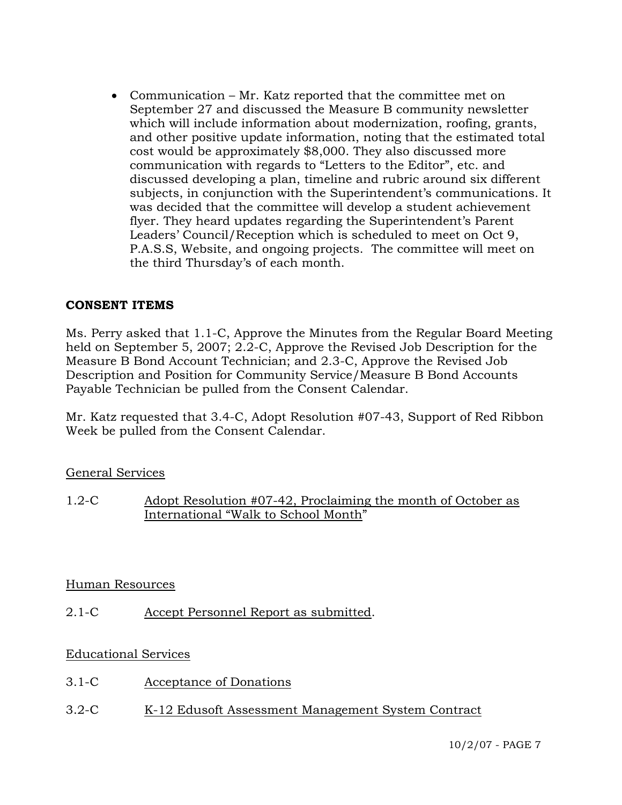• Communication – Mr. Katz reported that the committee met on September 27 and discussed the Measure B community newsletter which will include information about modernization, roofing, grants, and other positive update information, noting that the estimated total cost would be approximately \$8,000. They also discussed more communication with regards to "Letters to the Editor", etc. and discussed developing a plan, timeline and rubric around six different subjects, in conjunction with the Superintendent's communications. It was decided that the committee will develop a student achievement flyer. They heard updates regarding the Superintendent's Parent Leaders' Council/Reception which is scheduled to meet on Oct 9, P.A.S.S, Website, and ongoing projects. The committee will meet on the third Thursday's of each month.

#### **CONSENT ITEMS**

Ms. Perry asked that 1.1-C, Approve the Minutes from the Regular Board Meeting held on September 5, 2007; 2.2-C, Approve the Revised Job Description for the Measure B Bond Account Technician; and 2.3-C, Approve the Revised Job Description and Position for Community Service/Measure B Bond Accounts Payable Technician be pulled from the Consent Calendar.

Mr. Katz requested that 3.4-C, Adopt Resolution #07-43, Support of Red Ribbon Week be pulled from the Consent Calendar.

#### General Services

1.2-C Adopt Resolution #07-42, Proclaiming the month of October as International "Walk to School Month"

#### Human Resources

2.1-C Accept Personnel Report as submitted.

## Educational Services

- 3.1-C Acceptance of Donations
- 3.2-C K-12 Edusoft Assessment Management System Contract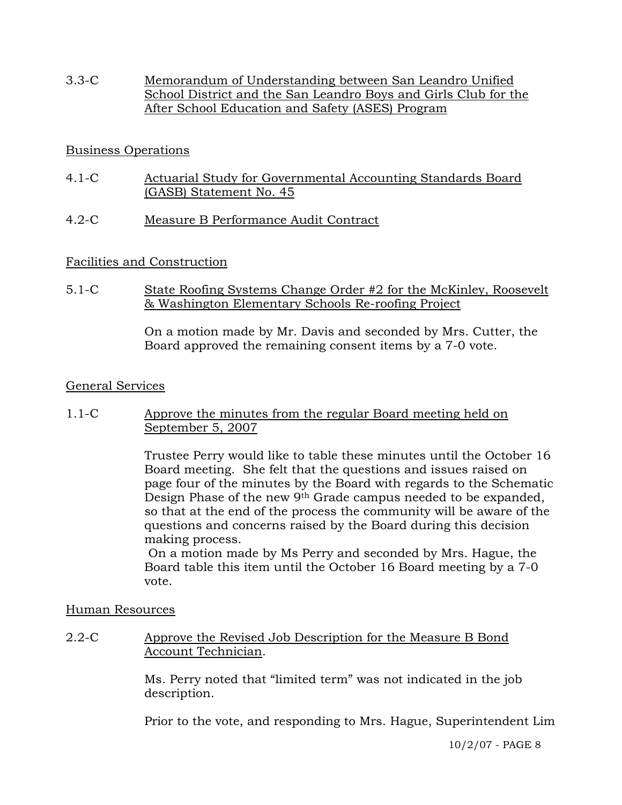3.3-C Memorandum of Understanding between San Leandro Unified School District and the San Leandro Boys and Girls Club for the After School Education and Safety (ASES) Program

## Business Operations

- 4.1-C Actuarial Study for Governmental Accounting Standards Board (GASB) Statement No. 45
- 4.2-C Measure B Performance Audit Contract

## Facilities and Construction

5.1-C State Roofing Systems Change Order #2 for the McKinley, Roosevelt & Washington Elementary Schools Re-roofing Project

> On a motion made by Mr. Davis and seconded by Mrs. Cutter, the Board approved the remaining consent items by a 7-0 vote.

#### General Services

1.1-C Approve the minutes from the regular Board meeting held on September 5, 2007

> Trustee Perry would like to table these minutes until the October 16 Board meeting. She felt that the questions and issues raised on page four of the minutes by the Board with regards to the Schematic Design Phase of the new 9th Grade campus needed to be expanded, so that at the end of the process the community will be aware of the questions and concerns raised by the Board during this decision making process.

 On a motion made by Ms Perry and seconded by Mrs. Hague, the Board table this item until the October 16 Board meeting by a 7-0 vote.

#### Human Resources

2.2-C Approve the Revised Job Description for the Measure B Bond Account Technician.

> Ms. Perry noted that "limited term" was not indicated in the job description.

Prior to the vote, and responding to Mrs. Hague, Superintendent Lim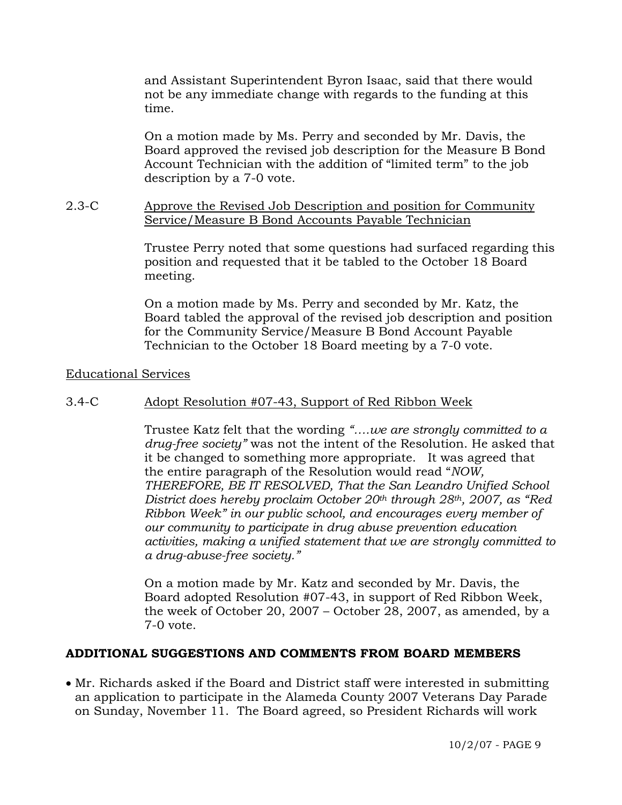and Assistant Superintendent Byron Isaac, said that there would not be any immediate change with regards to the funding at this time.

On a motion made by Ms. Perry and seconded by Mr. Davis, the Board approved the revised job description for the Measure B Bond Account Technician with the addition of "limited term" to the job description by a 7-0 vote.

#### 2.3-C Approve the Revised Job Description and position for Community Service/Measure B Bond Accounts Payable Technician

Trustee Perry noted that some questions had surfaced regarding this position and requested that it be tabled to the October 18 Board meeting.

On a motion made by Ms. Perry and seconded by Mr. Katz, the Board tabled the approval of the revised job description and position for the Community Service/Measure B Bond Account Payable Technician to the October 18 Board meeting by a 7-0 vote.

#### Educational Services

## 3.4-C Adopt Resolution #07-43, Support of Red Ribbon Week

Trustee Katz felt that the wording *"….we are strongly committed to a drug-free society"* was not the intent of the Resolution. He asked that it be changed to something more appropriate. It was agreed that the entire paragraph of the Resolution would read "*NOW, THEREFORE, BE IT RESOLVED, That the San Leandro Unified School District does hereby proclaim October 20th through 28th, 2007, as "Red Ribbon Week" in our public school, and encourages every member of our community to participate in drug abuse prevention education activities, making a unified statement that we are strongly committed to a drug-abuse-free society."*

On a motion made by Mr. Katz and seconded by Mr. Davis, the Board adopted Resolution #07-43, in support of Red Ribbon Week, the week of October 20, 2007 – October 28, 2007, as amended, by a 7-0 vote.

#### **ADDITIONAL SUGGESTIONS AND COMMENTS FROM BOARD MEMBERS**

• Mr. Richards asked if the Board and District staff were interested in submitting an application to participate in the Alameda County 2007 Veterans Day Parade on Sunday, November 11. The Board agreed, so President Richards will work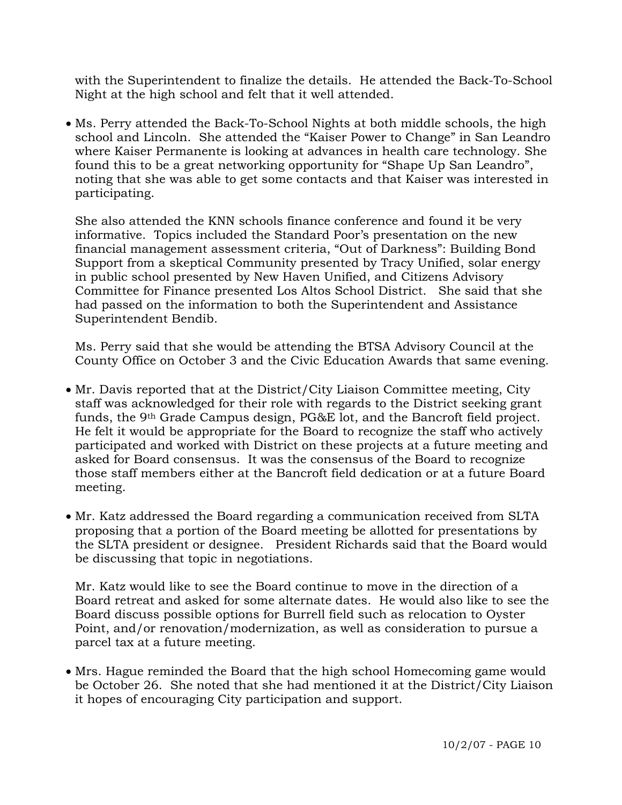with the Superintendent to finalize the details. He attended the Back-To-School Night at the high school and felt that it well attended.

• Ms. Perry attended the Back-To-School Nights at both middle schools, the high school and Lincoln. She attended the "Kaiser Power to Change" in San Leandro where Kaiser Permanente is looking at advances in health care technology. She found this to be a great networking opportunity for "Shape Up San Leandro", noting that she was able to get some contacts and that Kaiser was interested in participating.

 She also attended the KNN schools finance conference and found it be very informative. Topics included the Standard Poor's presentation on the new financial management assessment criteria, "Out of Darkness": Building Bond Support from a skeptical Community presented by Tracy Unified, solar energy in public school presented by New Haven Unified, and Citizens Advisory Committee for Finance presented Los Altos School District. She said that she had passed on the information to both the Superintendent and Assistance Superintendent Bendib.

 Ms. Perry said that she would be attending the BTSA Advisory Council at the County Office on October 3 and the Civic Education Awards that same evening.

- Mr. Davis reported that at the District/City Liaison Committee meeting, City staff was acknowledged for their role with regards to the District seeking grant funds, the 9th Grade Campus design, PG&E lot, and the Bancroft field project. He felt it would be appropriate for the Board to recognize the staff who actively participated and worked with District on these projects at a future meeting and asked for Board consensus. It was the consensus of the Board to recognize those staff members either at the Bancroft field dedication or at a future Board meeting.
- Mr. Katz addressed the Board regarding a communication received from SLTA proposing that a portion of the Board meeting be allotted for presentations by the SLTA president or designee. President Richards said that the Board would be discussing that topic in negotiations.

 Mr. Katz would like to see the Board continue to move in the direction of a Board retreat and asked for some alternate dates. He would also like to see the Board discuss possible options for Burrell field such as relocation to Oyster Point, and/or renovation/modernization, as well as consideration to pursue a parcel tax at a future meeting.

• Mrs. Hague reminded the Board that the high school Homecoming game would be October 26. She noted that she had mentioned it at the District/City Liaison it hopes of encouraging City participation and support.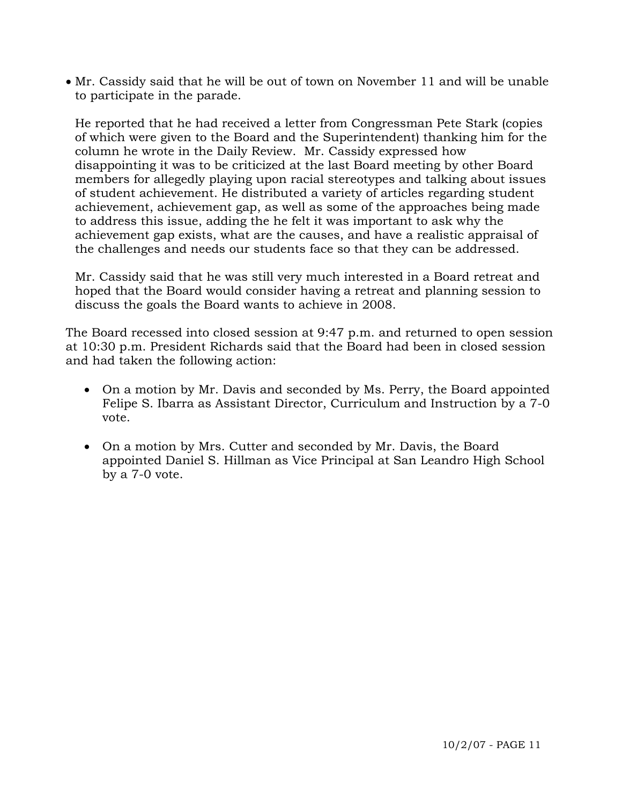• Mr. Cassidy said that he will be out of town on November 11 and will be unable to participate in the parade.

 He reported that he had received a letter from Congressman Pete Stark (copies of which were given to the Board and the Superintendent) thanking him for the column he wrote in the Daily Review. Mr. Cassidy expressed how disappointing it was to be criticized at the last Board meeting by other Board members for allegedly playing upon racial stereotypes and talking about issues of student achievement. He distributed a variety of articles regarding student achievement, achievement gap, as well as some of the approaches being made to address this issue, adding the he felt it was important to ask why the achievement gap exists, what are the causes, and have a realistic appraisal of the challenges and needs our students face so that they can be addressed.

 Mr. Cassidy said that he was still very much interested in a Board retreat and hoped that the Board would consider having a retreat and planning session to discuss the goals the Board wants to achieve in 2008.

The Board recessed into closed session at 9:47 p.m. and returned to open session at 10:30 p.m. President Richards said that the Board had been in closed session and had taken the following action:

- On a motion by Mr. Davis and seconded by Ms. Perry, the Board appointed Felipe S. Ibarra as Assistant Director, Curriculum and Instruction by a 7-0 vote.
- On a motion by Mrs. Cutter and seconded by Mr. Davis, the Board appointed Daniel S. Hillman as Vice Principal at San Leandro High School by a 7-0 vote.